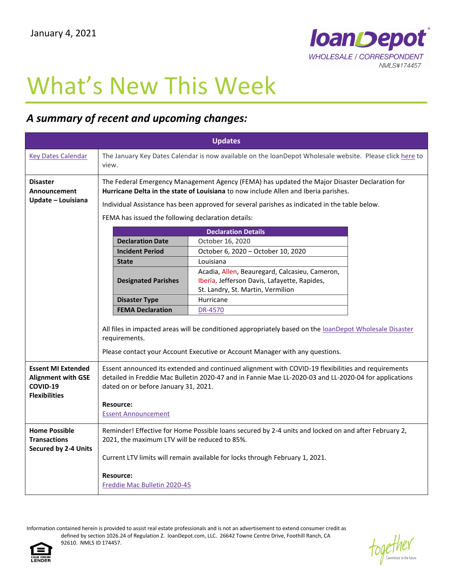

## What's New This Week

## *A summary of recent and upcoming changes:*

| <b>Updates</b>                                                                             |                                                                                                                                                                                                                                                                                                       |                                                                                                                                     |  |
|--------------------------------------------------------------------------------------------|-------------------------------------------------------------------------------------------------------------------------------------------------------------------------------------------------------------------------------------------------------------------------------------------------------|-------------------------------------------------------------------------------------------------------------------------------------|--|
| <b>Key Dates Calendar</b>                                                                  | The January Key Dates Calendar is now available on the loanDepot Wholesale website. Please click here to<br>view.                                                                                                                                                                                     |                                                                                                                                     |  |
| <b>Disaster</b><br>Announcement<br>Update - Louisiana                                      | The Federal Emergency Management Agency (FEMA) has updated the Major Disaster Declaration for<br>Hurricane Delta in the state of Louisiana to now include Allen and Iberia parishes.<br>Individual Assistance has been approved for several parishes as indicated in the table below.                 |                                                                                                                                     |  |
|                                                                                            | FEMA has issued the following declaration details:                                                                                                                                                                                                                                                    |                                                                                                                                     |  |
|                                                                                            |                                                                                                                                                                                                                                                                                                       | <b>Declaration Details</b>                                                                                                          |  |
|                                                                                            | <b>Declaration Date</b><br><b>Incident Period</b>                                                                                                                                                                                                                                                     | October 16, 2020<br>October 6, 2020 - October 10, 2020                                                                              |  |
|                                                                                            | <b>State</b>                                                                                                                                                                                                                                                                                          | Louisiana                                                                                                                           |  |
|                                                                                            | <b>Designated Parishes</b>                                                                                                                                                                                                                                                                            | Acadia, Allen, Beauregard, Calcasieu, Cameron,<br>Iberia, Jefferson Davis, Lafayette, Rapides,<br>St. Landry, St. Martin, Vermilion |  |
|                                                                                            | <b>Disaster Type</b>                                                                                                                                                                                                                                                                                  | Hurricane                                                                                                                           |  |
|                                                                                            | <b>FEMA Declaration</b>                                                                                                                                                                                                                                                                               | DR-4570                                                                                                                             |  |
|                                                                                            | All files in impacted areas will be conditioned appropriately based on the loanDepot Wholesale Disaster<br>requirements.<br>Please contact your Account Executive or Account Manager with any questions.                                                                                              |                                                                                                                                     |  |
| <b>Essent MI Extended</b><br><b>Alignment with GSE</b><br>COVID-19<br><b>Flexibilities</b> | Essent announced its extended and continued alignment with COVID-19 flexibilities and requirements<br>detailed in Freddie Mac Bulletin 2020-47 and in Fannie Mae LL-2020-03 and LL-2020-04 for applications<br>dated on or before January 31, 2021.<br><b>Resource:</b><br><b>Essent Announcement</b> |                                                                                                                                     |  |
|                                                                                            |                                                                                                                                                                                                                                                                                                       |                                                                                                                                     |  |
| <b>Home Possible</b><br><b>Transactions</b><br><b>Secured by 2-4 Units</b>                 | Reminder! Effective for Home Possible loans secured by 2-4 units and locked on and after February 2,<br>2021, the maximum LTV will be reduced to 85%.                                                                                                                                                 |                                                                                                                                     |  |
|                                                                                            | Current LTV limits will remain available for locks through February 1, 2021.                                                                                                                                                                                                                          |                                                                                                                                     |  |
|                                                                                            | <b>Resource:</b><br>Freddie Mac Bulletin 2020-45                                                                                                                                                                                                                                                      |                                                                                                                                     |  |

Information contained herein is provided to assist real estate professionals and is not an advertisement to extend consumer credit as